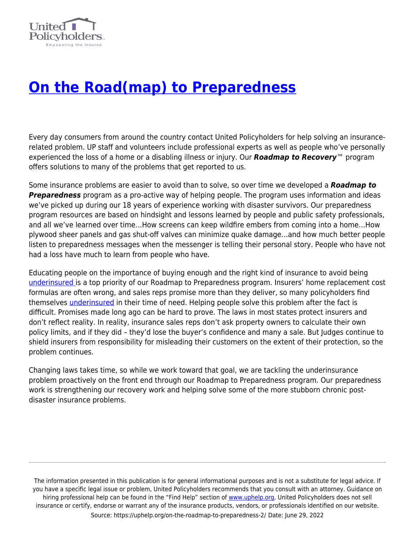

## **[On the Road\(map\) to Preparedness](https://uphelp.org/on-the-roadmap-to-preparedness-2/)**

Every day consumers from around the country contact United Policyholders for help solving an insurancerelated problem. UP staff and volunteers include professional experts as well as people who've personally experienced the loss of a home or a disabling illness or injury. Our *Roadmap to Recovery*™ program offers solutions to many of the problems that get reported to us.

Some insurance problems are easier to avoid than to solve, so over time we developed a *Roadmap to Preparedness* program as a pro-active way of helping people. The program uses information and ideas we've picked up during our 18 years of experience working with disaster survivors. Our preparedness program resources are based on hindsight and lessons learned by people and public safety professionals, and all we've learned over time…How screens can keep wildfire embers from coming into a home…How plywood sheer panels and gas shut-off valves can minimize quake damage…and how much better people listen to preparedness messages when the messenger is telling their personal story. People who have not had a loss have much to learn from people who have.

Educating people on the importance of buying enough and the right kind of insurance to avoid being [underinsured i](https://uphelp.org/claim-guidance-publications/underinsurance-101/)s a top priority of our Roadmap to Preparedness program. Insurers' home replacement cost formulas are often wrong, and sales reps promise more than they deliver, so many policyholders find themselves [underinsured](https://uphelp.org/underinsurance-help-were-you-lulled-into-a-false-sense-of-security-or-did-you-intentionally-underinsure-your-biggest-asset/) in their time of need. Helping people solve this problem after the fact is difficult. Promises made long ago can be hard to prove. The laws in most states protect insurers and don't reflect reality. In reality, insurance sales reps don't ask property owners to calculate their own policy limits, and if they did – they'd lose the buyer's confidence and many a sale. But Judges continue to shield insurers from responsibility for misleading their customers on the extent of their protection, so the problem continues.

Changing laws takes time, so while we work toward that goal, we are tackling the underinsurance problem proactively on the front end through our Roadmap to Preparedness program. Our preparedness work is strengthening our recovery work and helping solve some of the more stubborn chronic postdisaster insurance problems.

The information presented in this publication is for general informational purposes and is not a substitute for legal advice. If you have a specific legal issue or problem, United Policyholders recommends that you consult with an attorney. Guidance on hiring professional help can be found in the "Find Help" section of [www.uphelp.org.](http://www.uphelp.org/) United Policyholders does not sell insurance or certify, endorse or warrant any of the insurance products, vendors, or professionals identified on our website. Source: https://uphelp.org/on-the-roadmap-to-preparedness-2/ Date: June 29, 2022